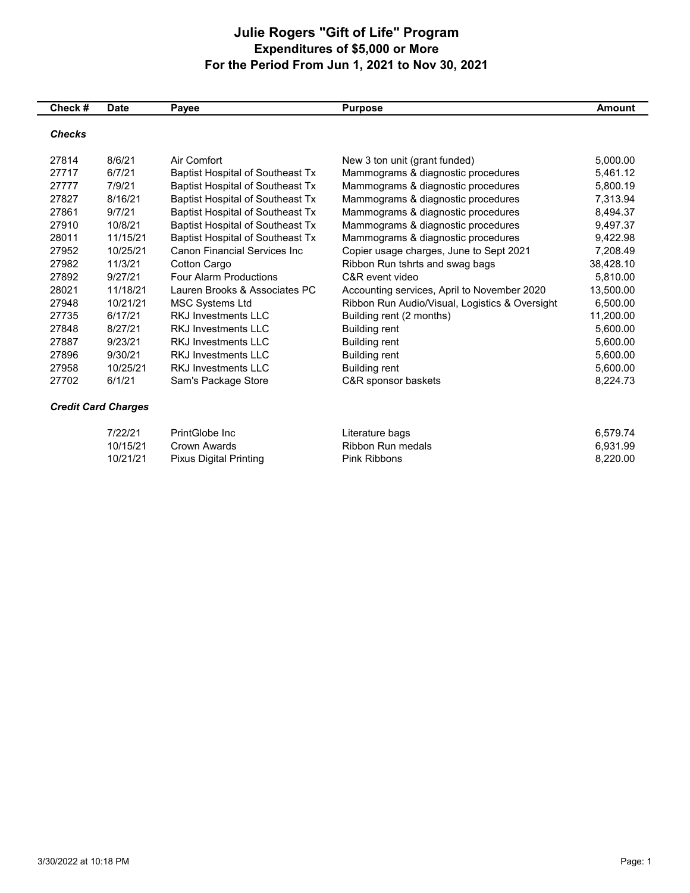## **Julie Rogers "Gift of Life" Program Expenditures of \$5,000 or More For the Period From Jun 1, 2021 to Nov 30, 2021**

| Check #       | <b>Date</b>                | Payee                                   | <b>Purpose</b>                                 | <b>Amount</b> |
|---------------|----------------------------|-----------------------------------------|------------------------------------------------|---------------|
| <b>Checks</b> |                            |                                         |                                                |               |
| 27814         | 8/6/21                     | Air Comfort                             | New 3 ton unit (grant funded)                  | 5,000.00      |
| 27717         | 6/7/21                     | <b>Baptist Hospital of Southeast Tx</b> | Mammograms & diagnostic procedures             | 5,461.12      |
| 27777         | 7/9/21                     | <b>Baptist Hospital of Southeast Tx</b> | Mammograms & diagnostic procedures             | 5.800.19      |
| 27827         | 8/16/21                    | <b>Baptist Hospital of Southeast Tx</b> | Mammograms & diagnostic procedures             | 7,313.94      |
| 27861         | 9/7/21                     | <b>Baptist Hospital of Southeast Tx</b> | Mammograms & diagnostic procedures             | 8,494.37      |
| 27910         | 10/8/21                    | <b>Baptist Hospital of Southeast Tx</b> | Mammograms & diagnostic procedures             | 9,497.37      |
| 28011         | 11/15/21                   | <b>Baptist Hospital of Southeast Tx</b> | Mammograms & diagnostic procedures             | 9,422.98      |
| 27952         | 10/25/21                   | <b>Canon Financial Services Inc.</b>    | Copier usage charges, June to Sept 2021        | 7,208.49      |
| 27982         | 11/3/21                    | Cotton Cargo                            | Ribbon Run tshrts and swag bags                | 38,428.10     |
| 27892         | 9/27/21                    | <b>Four Alarm Productions</b>           | C&R event video                                | 5,810.00      |
| 28021         | 11/18/21                   | Lauren Brooks & Associates PC           | Accounting services, April to November 2020    | 13,500.00     |
| 27948         | 10/21/21                   | <b>MSC Systems Ltd</b>                  | Ribbon Run Audio/Visual, Logistics & Oversight | 6,500.00      |
| 27735         | 6/17/21                    | RKJ Investments I I C                   | Building rent (2 months)                       | 11,200.00     |
| 27848         | 8/27/21                    | <b>RKJ Investments LLC</b>              | <b>Building rent</b>                           | 5,600.00      |
| 27887         | 9/23/21                    | <b>RKJ Investments LLC</b>              | <b>Building rent</b>                           | 5,600.00      |
| 27896         | 9/30/21                    | <b>RKJ Investments LLC</b>              | <b>Building rent</b>                           | 5,600.00      |
| 27958         | 10/25/21                   | <b>RKJ Investments LLC</b>              | <b>Building rent</b>                           | 5,600.00      |
| 27702         | 6/1/21                     | Sam's Package Store                     | C&R sponsor baskets                            | 8,224.73      |
|               | <b>Credit Card Charges</b> |                                         |                                                |               |
|               | 7/22/21                    | PrintGlobe Inc.                         | Literature bags                                | 6,579.74      |
|               | 10/15/21                   | Crown Awards                            | <b>Ribbon Run medals</b>                       | 6,931.99      |
|               | 10/21/21                   | <b>Pixus Digital Printing</b>           | <b>Pink Ribbons</b>                            | 8,220.00      |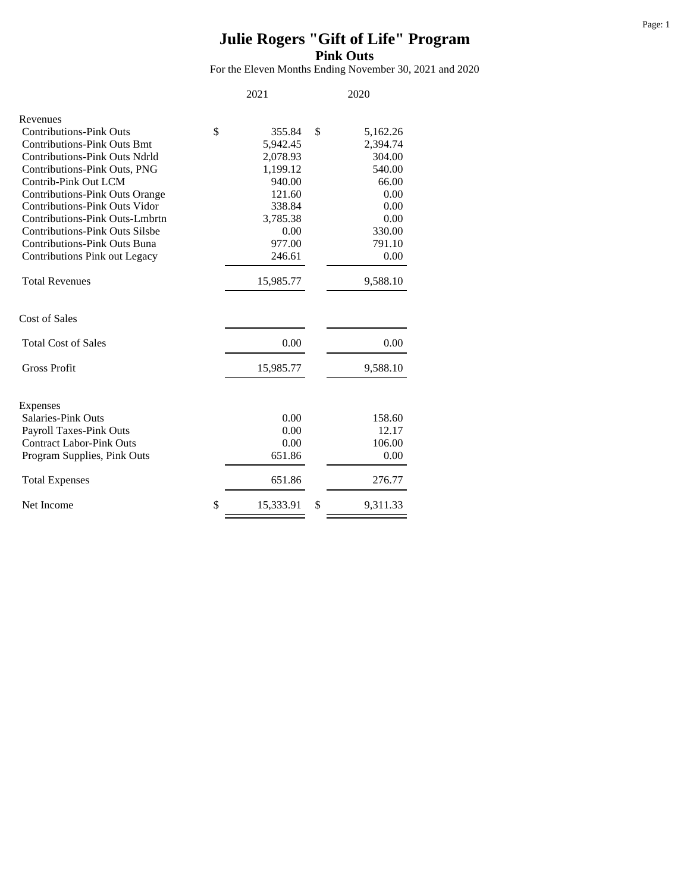## **Julie Rogers "Gift of Life" Program Pink Outs**

For the Eleven Months Ending November 30, 2021 and 2020

|                                       | 2021            | 2020           |
|---------------------------------------|-----------------|----------------|
| Revenues                              |                 |                |
| <b>Contributions-Pink Outs</b>        | \$<br>355.84    | \$<br>5,162.26 |
| <b>Contributions-Pink Outs Bmt</b>    | 5,942.45        | 2,394.74       |
| <b>Contributions-Pink Outs Ndrld</b>  | 2,078.93        | 304.00         |
| Contributions-Pink Outs, PNG          | 1,199.12        | 540.00         |
| Contrib-Pink Out LCM                  | 940.00          | 66.00          |
| <b>Contributions-Pink Outs Orange</b> | 121.60          | 0.00           |
| <b>Contributions-Pink Outs Vidor</b>  | 338.84          | 0.00           |
| Contributions-Pink Outs-Lmbrtn        | 3,785.38        | 0.00           |
| <b>Contributions-Pink Outs Silsbe</b> | 0.00            | 330.00         |
| <b>Contributions-Pink Outs Buna</b>   | 977.00          | 791.10         |
| Contributions Pink out Legacy         | 246.61          | 0.00           |
| <b>Total Revenues</b>                 | 15,985.77       | 9,588.10       |
| Cost of Sales                         |                 |                |
| <b>Total Cost of Sales</b>            | 0.00            | 0.00           |
| <b>Gross Profit</b>                   | 15,985.77       | 9,588.10       |
| Expenses                              |                 |                |
| Salaries-Pink Outs                    | 0.00            | 158.60         |
| <b>Payroll Taxes-Pink Outs</b>        | 0.00            | 12.17          |
| <b>Contract Labor-Pink Outs</b>       | 0.00            | 106.00         |
| Program Supplies, Pink Outs           | 651.86          | 0.00           |
| <b>Total Expenses</b>                 | 651.86          | 276.77         |
| Net Income                            | \$<br>15,333.91 | \$<br>9,311.33 |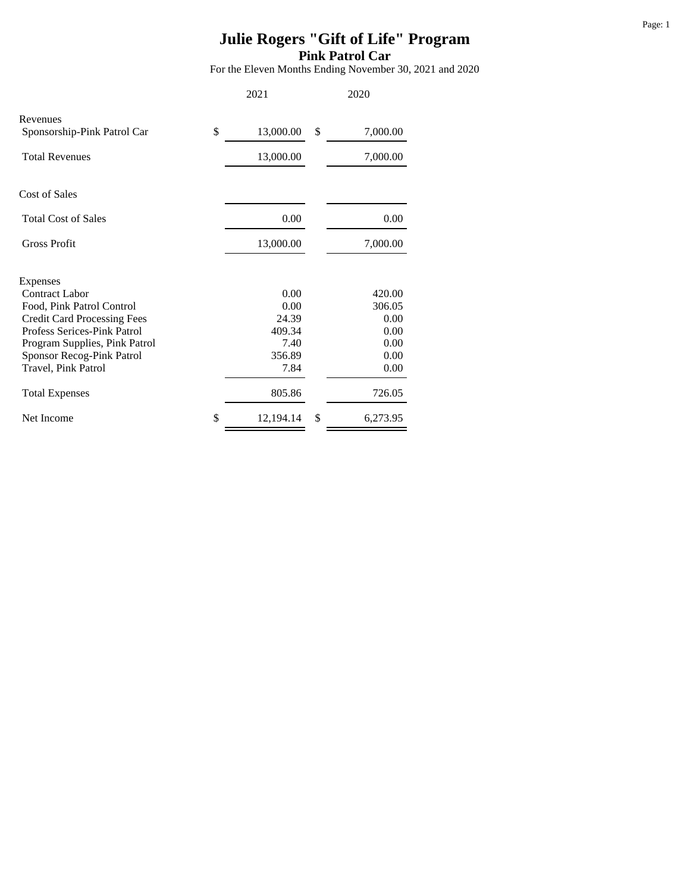## **Julie Rogers "Gift of Life" Program Pink Patrol Car**

For the Eleven Months Ending November 30, 2021 and 2020

|                                                  | 2021            | 2020           |
|--------------------------------------------------|-----------------|----------------|
| Revenues<br>Sponsorship-Pink Patrol Car          | \$<br>13,000.00 | \$<br>7,000.00 |
| <b>Total Revenues</b>                            | 13,000.00       | 7,000.00       |
| <b>Cost of Sales</b>                             |                 |                |
| <b>Total Cost of Sales</b>                       | 0.00            | 0.00           |
| <b>Gross Profit</b>                              | 13,000.00       | 7,000.00       |
| Expenses                                         |                 |                |
| <b>Contract Labor</b>                            | 0.00            | 420.00         |
| Food, Pink Patrol Control                        | 0.00            | 306.05         |
| <b>Credit Card Processing Fees</b>               | 24.39           | 0.00           |
| Profess Serices-Pink Patrol                      | 409.34          | 0.00           |
| Program Supplies, Pink Patrol                    | 7.40<br>356.89  | 0.00<br>0.00   |
| Sponsor Recog-Pink Patrol<br>Travel, Pink Patrol | 7.84            | 0.00           |
| <b>Total Expenses</b>                            | 805.86          | 726.05         |
| Net Income                                       | \$<br>12,194.14 | \$<br>6,273.95 |